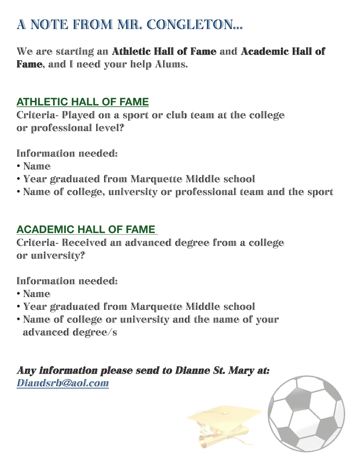## A NOTE FROM MR. CONGLETON...

We are starting an Athletic Hall of Fame and Academic Hall of Fame, and I need your help Alums.

## **Athletic Hall of Fame**

Criteria- Played on a sport or club team at the college or professional level?

Information needed:

- Name
- Year graduated from Marquette Middle school
- Name of college, university or professional team and the sport

## **Academic Hall of Fame**

Criteria- Received an advanced degree from a college or university?

Information needed:

- Name
- Year graduated from Marquette Middle school
- Name of college or university and the name of your advanced degree/s

## Any information please send to Dianne St. Mary at: Diandsrb@aol.com